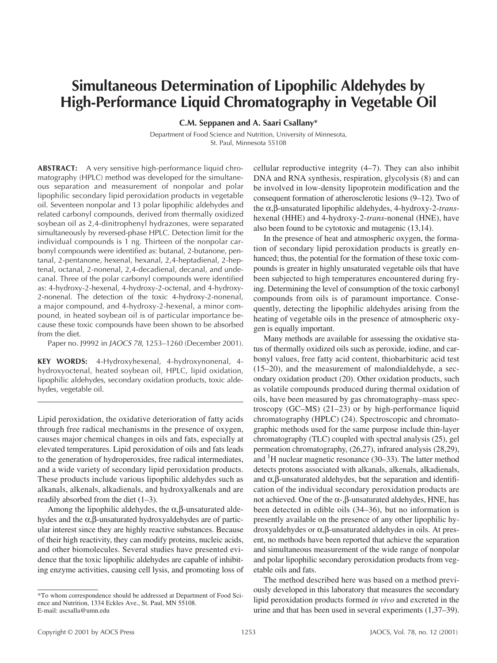# **Simultaneous Determination of Lipophilic Aldehydes by High-Performance Liquid Chromatography in Vegetable Oil**

**C.M. Seppanen and A. Saari Csallany\***

Department of Food Science and Nutrition, University of Minnesota, St. Paul, Minnesota 55108

**ABSTRACT:** A very sensitive high-performance liquid chromatography (HPLC) method was developed for the simultaneous separation and measurement of nonpolar and polar lipophilic secondary lipid peroxidation products in vegetable oil. Seventeen nonpolar and 13 polar lipophilic aldehydes and related carbonyl compounds, derived from thermally oxidized soybean oil as 2,4-dinitrophenyl hydrazones, were separated simultaneously by reversed-phase HPLC. Detection limit for the individual compounds is 1 ng. Thirteen of the nonpolar carbonyl compounds were identified as: butanal, 2-butanone, pentanal, 2-pentanone, hexenal, hexanal, 2,4-heptadienal, 2-heptenal, octanal, 2-nonenal, 2,4-decadienal, decanal, and undecanal. Three of the polar carbonyl compounds were identified as: 4-hydroxy-2-hexenal, 4-hydroxy-2-octenal, and 4-hydroxy-2-nonenal. The detection of the toxic 4-hydroxy-2-nonenal, a major compound, and 4-hydroxy-2-hexenal, a minor compound, in heated soybean oil is of particular importance because these toxic compounds have been shown to be absorbed from the diet.

Paper no. J9992 in *JAOCS 78*, 1253–1260 (December 2001).

**KEY WORDS:** 4-Hydroxyhexenal, 4-hydroxynonenal, 4 hydroxyoctenal, heated soybean oil, HPLC, lipid oxidation, lipophilic aldehydes, secondary oxidation products, toxic aldehydes, vegetable oil.

Lipid peroxidation, the oxidative deterioration of fatty acids through free radical mechanisms in the presence of oxygen, causes major chemical changes in oils and fats, especially at elevated temperatures. Lipid peroxidation of oils and fats leads to the generation of hydroperoxides, free radical intermediates, and a wide variety of secondary lipid peroxidation products. These products include various lipophilic aldehydes such as alkanals, alkenals, alkadienals, and hydroxyalkenals and are readily absorbed from the diet (1–3).

Among the lipophilic aldehydes, the  $\alpha$ ,  $\beta$ -unsaturated aldehydes and the α,β-unsaturated hydroxyaldehydes are of particular interest since they are highly reactive substances. Because of their high reactivity, they can modify proteins, nucleic acids, and other biomolecules. Several studies have presented evidence that the toxic lipophilic aldehydes are capable of inhibiting enzyme activities, causing cell lysis, and promoting loss of cellular reproductive integrity (4–7). They can also inhibit DNA and RNA synthesis, respiration, glycolysis (8) and can be involved in low-density lipoprotein modification and the consequent formation of atherosclerotic lesions (9–12). Two of the α,β-unsaturated lipophilic aldehydes, 4-hydroxy-2-*trans*hexenal (HHE) and 4-hydroxy-2-*trans*-nonenal (HNE), have also been found to be cytotoxic and mutagenic (13,14).

In the presence of heat and atmospheric oxygen, the formation of secondary lipid peroxidation products is greatly enhanced; thus, the potential for the formation of these toxic compounds is greater in highly unsaturated vegetable oils that have been subjected to high temperatures encountered during frying. Determining the level of consumption of the toxic carbonyl compounds from oils is of paramount importance. Consequently, detecting the lipophilic aldehydes arising from the heating of vegetable oils in the presence of atmospheric oxygen is equally important.

Many methods are available for assessing the oxidative status of thermally oxidized oils such as peroxide, iodine, and carbonyl values, free fatty acid content, thiobarbituric acid test (15–20), and the measurement of malondialdehyde, a secondary oxidation product (20). Other oxidation products, such as volatile compounds produced during thermal oxidation of oils, have been measured by gas chromatography–mass spectroscopy (GC–MS) (21–23) or by high-performance liquid chromatography (HPLC) (24). Spectroscopic and chromatographic methods used for the same purpose include thin-layer chromatography (TLC) coupled with spectral analysis (25), gel permeation chromatography, (26,27), infrared analysis (28,29), and  ${}^{1}$ H nuclear magnetic resonance (30–33). The latter method detects protons associated with alkanals, alkenals, alkadienals, and  $\alpha$ ,  $\beta$ -unsaturated aldehydes, but the separation and identification of the individual secondary peroxidation products are not achieved. One of the  $\alpha$ -,β-unsaturated aldehydes, HNE, has been detected in edible oils (34–36), but no information is presently available on the presence of any other lipophilic hydroxyaldehydes or α,β-unsaturated aldehydes in oils. At present, no methods have been reported that achieve the separation and simultaneous measurement of the wide range of nonpolar and polar lipophilic secondary peroxidation products from vegetable oils and fats.

The method described here was based on a method previously developed in this laboratory that measures the secondary lipid peroxidation products formed *in vivo* and excreted in the urine and that has been used in several experiments (1,37–39).

<sup>\*</sup>To whom correspondence should be addressed at Department of Food Science and Nutrition, 1334 Eckles Ave., St. Paul, MN 55108. E-mail: ascsalla@umn.edu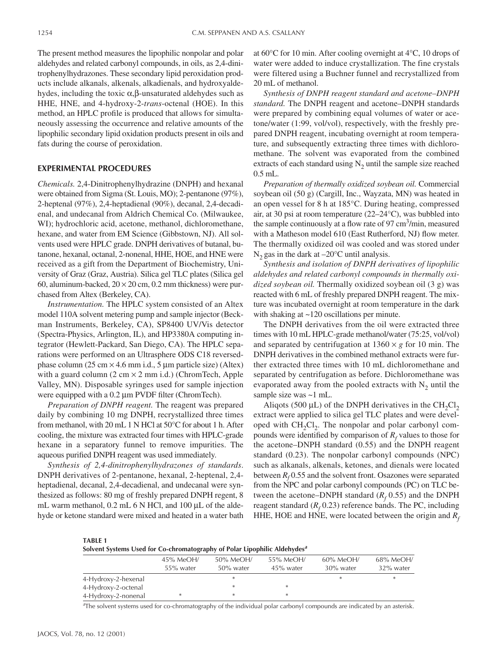The present method measures the lipophilic nonpolar and polar aldehydes and related carbonyl compounds, in oils, as 2,4-dinitrophenylhydrazones. These secondary lipid peroxidation products include alkanals, alkenals, alkadienals, and hydroxyaldehydes, including the toxic α,β-unsaturated aldehydes such as HHE, HNE, and 4-hydroxy-2-*trans*-octenal (HOE). In this method, an HPLC profile is produced that allows for simultaneously assessing the occurrence and relative amounts of the lipophilic secondary lipid oxidation products present in oils and fats during the course of peroxidation.

## **EXPERIMENTAL PROCEDURES**

*Chemicals.* 2,4-Dinitrophenylhydrazine (DNPH) and hexanal were obtained from Sigma (St. Louis, MO); 2-pentanone (97%), 2-heptenal (97%), 2,4-heptadienal (90%), decanal, 2,4-decadienal, and undecanal from Aldrich Chemical Co. (Milwaukee, WI); hydrochloric acid, acetone, methanol, dichloromethane, hexane, and water from EM Science (Gibbstown, NJ). All solvents used were HPLC grade. DNPH derivatives of butanal, butanone, hexanal, octanal, 2-nonenal, HHE, HOE, and HNE were received as a gift from the Department of Biochemistry, University of Graz (Graz, Austria). Silica gel TLC plates (Silica gel 60, aluminum-backed,  $20 \times 20$  cm, 0.2 mm thickness) were purchased from Altex (Berkeley, CA).

*Instrumentation.* The HPLC system consisted of an Altex model 110A solvent metering pump and sample injector (Beckman Instruments, Berkeley, CA), SP8400 UV/Vis detector (Spectra-Physics, Arlington, IL), and HP3380A computing integrator (Hewlett-Packard, San Diego, CA). The HPLC separations were performed on an Ultrasphere ODS C18 reversedphase column (25 cm  $\times$  4.6 mm i.d., 5 µm particle size) (Altex) with a guard column  $(2 \text{ cm} \times 2 \text{ mm} \text{ i.d.})$  (ChromTech, Apple Valley, MN). Disposable syringes used for sample injection were equipped with a 0.2 µm PVDF filter (ChromTech).

*Preparation of DNPH reagent.* The reagent was prepared daily by combining 10 mg DNPH, recrystallized three times from methanol, with 20 mL 1 N HCl at 50°C for about 1 h. After cooling, the mixture was extracted four times with HPLC-grade hexane in a separatory funnel to remove impurities. The aqueous purified DNPH reagent was used immediately.

*Synthesis of 2,4-dinitrophenylhydrazones of standards*. DNPH derivatives of 2-pentanone, hexanal, 2-heptenal, 2,4 heptadienal, decanal, 2,4-decadienal, and undecanal were synthesized as follows: 80 mg of freshly prepared DNPH regent, 8 mL warm methanol, 0.2 mL 6 N HCl, and 100 µL of the aldehyde or ketone standard were mixed and heated in a water bath at 60°C for 10 min. After cooling overnight at 4°C, 10 drops of water were added to induce crystallization. The fine crystals were filtered using a Buchner funnel and recrystallized from 20 mL of methanol.

*Synthesis of DNPH reagent standard and acetone–DNPH standard.* The DNPH reagent and acetone–DNPH standards were prepared by combining equal volumes of water or acetone/water (1:99, vol/vol), respectively, with the freshly prepared DNPH reagent, incubating overnight at room temperature, and subsequently extracting three times with dichloromethane. The solvent was evaporated from the combined extracts of each standard using  $N_2$  until the sample size reached 0.5 mL.

*Preparation of thermally oxidized soybean oil.* Commercial soybean oil (50 g) (Cargill, Inc., Wayzata, MN) was heated in an open vessel for 8 h at 185°C. During heating, compressed air, at 30 psi at room temperature (22–24°C), was bubbled into the sample continuously at a flow rate of 97 cm<sup>3</sup>/min, measured with a Matheson model 610 (East Rutherford, NJ) flow meter. The thermally oxidized oil was cooled and was stored under  $N_2$  gas in the dark at  $-20^{\circ}$ C until analysis.

*Synthesis and isolation of DNPH derivatives of lipophilic aldehydes and related carbonyl compounds in thermally oxidized soybean oil.* Thermally oxidized soybean oil (3 g) was reacted with 6 mL of freshly prepared DNPH reagent. The mixture was incubated overnight at room temperature in the dark with shaking at ~120 oscillations per minute.

The DNPH derivatives from the oil were extracted three times with 10 mL HPLC-grade methanol/water (75:25, vol/vol) and separated by centrifugation at  $1360 \times g$  for 10 min. The DNPH derivatives in the combined methanol extracts were further extracted three times with 10 mL dichloromethane and separated by centrifugation as before. Dichloromethane was evaporated away from the pooled extracts with  $N_2$  until the sample size was ~1 mL.

Aliqots (500  $\mu$ L) of the DNPH derivatives in the CH<sub>2</sub>Cl<sub>2</sub> extract were applied to silica gel TLC plates and were developed with  $CH<sub>2</sub>Cl<sub>2</sub>$ . The nonpolar and polar carbonyl compounds were identified by comparison of  $R_f$  values to those for the acetone–DNPH standard (0.55) and the DNPH reagent standard (0.23). The nonpolar carbonyl compounds (NPC) such as alkanals, alkenals, ketones, and dienals were located between  $R_f$ 0.55 and the solvent front. Osazones were separated from the NPC and polar carbonyl compounds (PC) on TLC between the acetone–DNPH standard  $(R_f 0.55)$  and the DNPH reagent standard  $(R_f 0.23)$  reference bands. The PC, including HHE, HOE and HNE, were located between the origin and  $R_f$ 

**TABLE 1**

|                     | $45\%$ MeOH/ | 50% MeOH/    | 55% MeOH/    | $60\%$ MeOH/ | 68% MeOH/ |  |  |  |
|---------------------|--------------|--------------|--------------|--------------|-----------|--|--|--|
|                     | 55% water    | $50\%$ water | $45\%$ water | 30% water    | 32% water |  |  |  |
| 4-Hydroxy-2-hexenal |              | *            |              | ×            | ∗         |  |  |  |
| 4-Hydroxy-2-octenal |              | *            | *            |              |           |  |  |  |
| 4-Hydroxy-2-nonenal | $\ast$       | $\ast$       | *            |              |           |  |  |  |

*a* The solvent systems used for co-chromatography of the individual polar carbonyl compounds are indicated by an asterisk.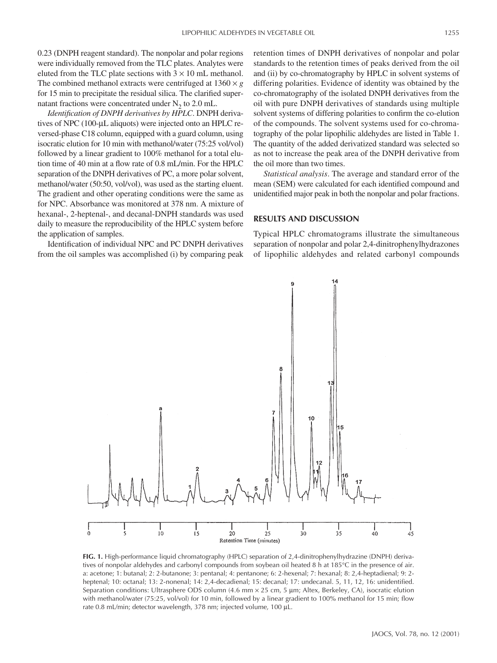0.23 (DNPH reagent standard). The nonpolar and polar regions were individually removed from the TLC plates. Analytes were eluted from the TLC plate sections with  $3 \times 10$  mL methanol. The combined methanol extracts were centrifuged at  $1360 \times g$ for 15 min to precipitate the residual silica. The clarified supernatant fractions were concentrated under  $N<sub>2</sub>$  to 2.0 mL.

*Identification of DNPH derivatives by HPLC*. DNPH derivatives of NPC (100-µL aliquots) were injected onto an HPLC reversed-phase C18 column, equipped with a guard column, using isocratic elution for 10 min with methanol/water (75:25 vol/vol) followed by a linear gradient to 100% methanol for a total elution time of 40 min at a flow rate of 0.8 mL/min. For the HPLC separation of the DNPH derivatives of PC, a more polar solvent, methanol/water (50:50, vol/vol), was used as the starting eluent. The gradient and other operating conditions were the same as for NPC. Absorbance was monitored at 378 nm. A mixture of hexanal-, 2-heptenal-, and decanal-DNPH standards was used daily to measure the reproducibility of the HPLC system before the application of samples.

Identification of individual NPC and PC DNPH derivatives from the oil samples was accomplished (i) by comparing peak

retention times of DNPH derivatives of nonpolar and polar standards to the retention times of peaks derived from the oil and (ii) by co-chromatography by HPLC in solvent systems of differing polarities. Evidence of identity was obtained by the co-chromatography of the isolated DNPH derivatives from the oil with pure DNPH derivatives of standards using multiple solvent systems of differing polarities to confirm the co-elution of the compounds. The solvent systems used for co-chromatography of the polar lipophilic aldehydes are listed in Table 1. The quantity of the added derivatized standard was selected so as not to increase the peak area of the DNPH derivative from the oil more than two times.

*Statistical analysis*. The average and standard error of the mean (SEM) were calculated for each identified compound and unidentified major peak in both the nonpolar and polar fractions.

#### **RESULTS AND DISCUSSION**

Typical HPLC chromatograms illustrate the simultaneous separation of nonpolar and polar 2,4-dinitrophenylhydrazones of lipophilic aldehydes and related carbonyl compounds



**FIG. 1.** High-performance liquid chromatography (HPLC) separation of 2,4-dinitrophenylhydrazine (DNPH) derivatives of nonpolar aldehydes and carbonyl compounds from soybean oil heated 8 h at 185°C in the presence of air. a: acetone; 1: butanal; 2: 2-butanone; 3: pentanal; 4: pentanone; 6: 2-hexenal; 7: hexanal; 8: 2,4-heptadienal; 9: 2 heptenal; 10: octanal; 13: 2-nonenal; 14: 2,4-decadienal; 15: decanal; 17: undecanal. 5, 11, 12, 16: unidentified. Separation conditions: Ultrasphere ODS column (4.6 mm × 25 cm, 5 µm; Altex, Berkeley, CA), isocratic elution with methanol/water (75:25, vol/vol) for 10 min, followed by a linear gradient to 100% methanol for 15 min; flow rate 0.8 mL/min; detector wavelength, 378 nm; injected volume, 100 µL.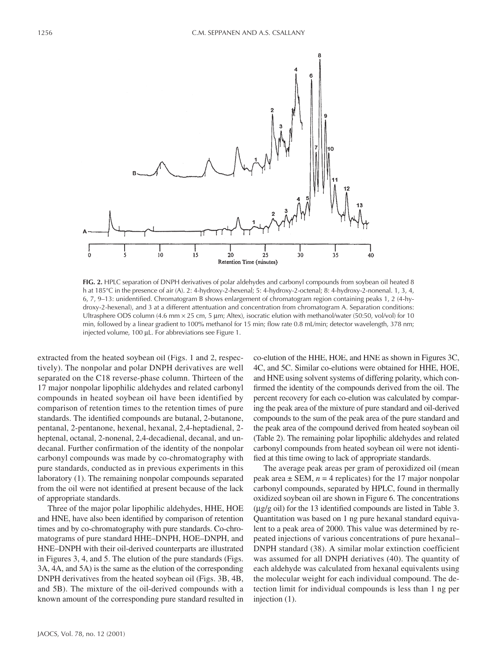

**FIG. 2.** HPLC separation of DNPH derivatives of polar aldehydes and carbonyl compounds from soybean oil heated 8 h at 185°C in the presence of air (A). 2: 4-hydroxy-2-hexenal; 5: 4-hydroxy-2-octenal; 8: 4-hydroxy-2-nonenal. 1, 3, 4, 6, 7, 9–13: unidentified. Chromatogram B shows enlargement of chromatogram region containing peaks 1, 2 (4-hydroxy-2-hexenal), and 3 at a different attentuation and concentration from chromatogram A. Separation conditions: Ultrasphere ODS column (4.6 mm  $\times$  25 cm, 5 µm; Altex), isocratic elution with methanol/water (50:50, vol/vol) for 10 min, followed by a linear gradient to 100% methanol for 15 min; flow rate 0.8 mL/min; detector wavelength, 378 nm; injected volume, 100 µL. For abbreviations see Figure 1.

extracted from the heated soybean oil (Figs. 1 and 2, respectively). The nonpolar and polar DNPH derivatives are well separated on the C18 reverse-phase column. Thirteen of the 17 major nonpolar lipophilic aldehydes and related carbonyl compounds in heated soybean oil have been identified by comparison of retention times to the retention times of pure standards. The identified compounds are butanal, 2-butanone, pentanal, 2-pentanone, hexenal, hexanal, 2,4-heptadienal, 2 heptenal, octanal, 2-nonenal, 2,4-decadienal, decanal, and undecanal. Further confirmation of the identity of the nonpolar carbonyl compounds was made by co-chromatography with pure standards, conducted as in previous experiments in this laboratory (1). The remaining nonpolar compounds separated from the oil were not identified at present because of the lack of appropriate standards.

Three of the major polar lipophilic aldehydes, HHE, HOE and HNE, have also been identified by comparison of retention times and by co-chromatography with pure standards. Co-chromatograms of pure standard HHE–DNPH, HOE–DNPH, and HNE–DNPH with their oil-derived counterparts are illustrated in Figures 3, 4, and 5. The elution of the pure standards (Figs. 3A, 4A, and 5A) is the same as the elution of the corresponding DNPH derivatives from the heated soybean oil (Figs. 3B, 4B, and 5B). The mixture of the oil-derived compounds with a known amount of the corresponding pure standard resulted in

co-elution of the HHE, HOE, and HNE as shown in Figures 3C, 4C, and 5C. Similar co-elutions were obtained for HHE, HOE, and HNE using solvent systems of differing polarity, which confirmed the identity of the compounds derived from the oil. The percent recovery for each co-elution was calculated by comparing the peak area of the mixture of pure standard and oil-derived compounds to the sum of the peak area of the pure standard and the peak area of the compound derived from heated soybean oil (Table 2). The remaining polar lipophilic aldehydes and related carbonyl compounds from heated soybean oil were not identified at this time owing to lack of appropriate standards.

The average peak areas per gram of peroxidized oil (mean peak area  $\pm$  SEM,  $n = 4$  replicates) for the 17 major nonpolar carbonyl compounds, separated by HPLC, found in thermally oxidized soybean oil are shown in Figure 6. The concentrations (µg/g oil) for the 13 identified compounds are listed in Table 3. Quantitation was based on 1 ng pure hexanal standard equivalent to a peak area of 2000. This value was determined by repeated injections of various concentrations of pure hexanal– DNPH standard (38). A similar molar extinction coefficient was assumed for all DNPH deriatives (40). The quantity of each aldehyde was calculated from hexanal equivalents using the molecular weight for each individual compound. The detection limit for individual compounds is less than 1 ng per injection (1).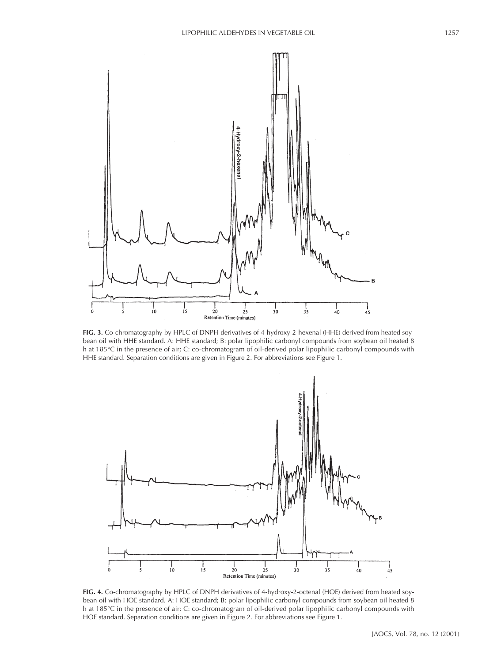

**FIG. 3.** Co-chromatography by HPLC of DNPH derivatives of 4-hydroxy-2-hexenal (HHE) derived from heated soybean oil with HHE standard. A: HHE standard; B: polar lipophilic carbonyl compounds from soybean oil heated 8 h at 185°C in the presence of air; C: co-chromatogram of oil-derived polar lipophilic carbonyl compounds with HHE standard. Separation conditions are given in Figure 2. For abbreviations see Figure 1.



**FIG. 4.** Co-chromatography by HPLC of DNPH derivatives of 4-hydroxy-2-octenal (HOE) derived from heated soybean oil with HOE standard. A: HOE standard; B: polar lipophilic carbonyl compounds from soybean oil heated 8 h at 185°C in the presence of air; C: co-chromatogram of oil-derived polar lipophilic carbonyl compounds with HOE standard. Separation conditions are given in Figure 2. For abbreviations see Figure 1.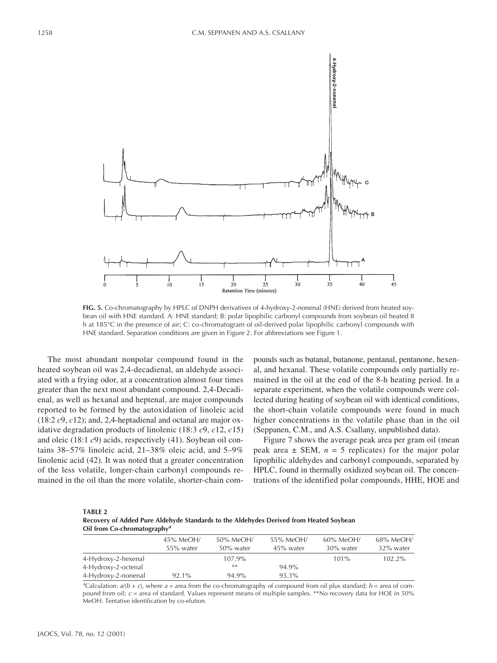

**FIG. 5.** Co-chromatography by HPLC of DNPH derivatives of 4-hydroxy-2-nonenal (HNE) derived from heated soybean oil with HNE standard. A: HNE standard; B: polar lipophilic carbonyl compounds from soybean oil heated 8 h at 185°C in the presence of air; C: co-chromatogram of oil-derived polar lipophilic carbonyl compounds with HNE standard. Separation conditions are given in Figure 2. For abbreviations see Figure 1.

The most abundant nonpolar compound found in the heated soybean oil was 2,4-decadienal, an aldehyde associated with a frying odor, at a concentration almost four times greater than the next most abundant compound. 2,4-Decadienal, as well as hexanal and heptenal, are major compounds reported to be formed by the autoxidation of linoleic acid (18:2 *c*9, *c*12); and, 2,4-heptadienal and octanal are major oxidative degradation products of linolenic (18:3 *c*9, *c*12, *c*15) and oleic (18:1 *c*9) acids, respectively (41). Soybean oil contains 38–57% linoleic acid, 21–38% oleic acid, and 5–9% linolenic acid (42). It was noted that a greater concentration of the less volatile, longer-chain carbonyl compounds remained in the oil than the more volatile, shorter-chain compounds such as butanal, butanone, pentanal, pentanone, hexenal, and hexanal. These volatile compounds only partially remained in the oil at the end of the 8-h heating period. In a separate experiment, when the volatile compounds were collected during heating of soybean oil with identical conditions, the short-chain volatile compounds were found in much higher concentrations in the volatile phase than in the oil (Seppanen, C.M., and A.S. Csallany, unpublished data).

Figure 7 shows the average peak area per gram oil (mean peak area  $\pm$  SEM,  $n = 5$  replicates) for the major polar lipophilic aldehydes and carbonyl compounds, separated by HPLC, found in thermally oxidized soybean oil. The concentrations of the identified polar compounds, HHE, HOE and

| <b>TABLE 2</b>                                                                         |
|----------------------------------------------------------------------------------------|
| Recovery of Added Pure Aldehyde Standards to the Aldehydes Derived from Heated Soybean |
| $\Omega$ il from Co-chromatography <sup>a</sup>                                        |

|                     | $45\%$ MeOH/ | 50% MeOH/ | 55% MeOH/    | $60\%$ MeOH/ | 68% MeOH/    |  |  |
|---------------------|--------------|-----------|--------------|--------------|--------------|--|--|
|                     | 55% water    | 50% water | $45\%$ water | 30% water    | $32\%$ water |  |  |
| 4-Hydroxy-2-hexenal |              | $107.9\%$ |              | $101\%$      | $102.2\%$    |  |  |
| 4-Hydroxy-2-octenal |              | $**$      | 94.9%        |              |              |  |  |
| 4-Hydroxy-2-nonenal | $92.1\%$     | 94.9%     | 93.3%        |              |              |  |  |

 $a^2$ Calculation:  $a/(b + c)$ , where  $a =$  area from the co-chromatography of compound from oil plus standard;  $b =$  area of compound from oil; *c* = area of standard. Values represent means of multiple samples. \*\*No recovery data for HOE in 50% MeOH. Tentative identification by co-elution.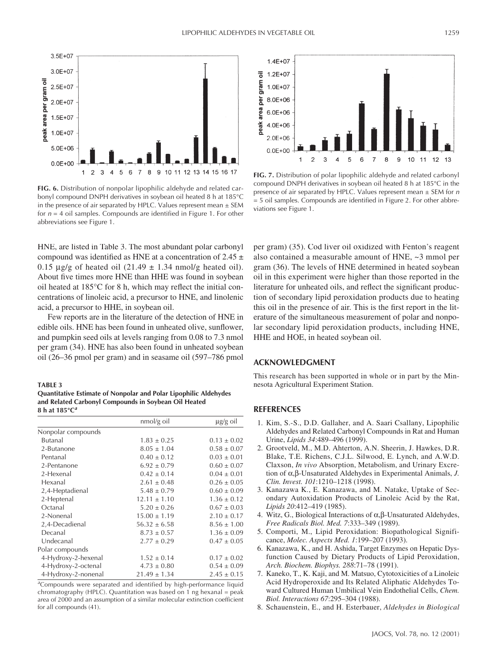

**FIG. 6.** Distribution of nonpolar lipophilic aldehyde and related carbonyl compound DNPH derivatives in soybean oil heated 8 h at 185°C in the presence of air separated by HPLC. Values represent mean  $\pm$  SEM for *n* = 4 oil samples. Compounds are identified in Figure 1. For other abbreviations see Figure 1.

HNE, are listed in Table 3. The most abundant polar carbonyl compound was identified as HNE at a concentration of 2.45  $\pm$ 0.15  $\mu$ g/g of heated oil (21.49  $\pm$  1.34 nmol/g heated oil). About five times more HNE than HHE was found in soybean oil heated at 185°C for 8 h, which may reflect the initial concentrations of linoleic acid, a precursor to HNE, and linolenic acid, a precursor to HHE, in soybean oil.

Few reports are in the literature of the detection of HNE in edible oils. HNE has been found in unheated olive, sunflower, and pumpkin seed oils at levels ranging from 0.08 to 7.3 nmol per gram (34). HNE has also been found in unheated soybean oil (26–36 pmol per gram) and in seasame oil (597–786 pmol

**TABLE 3**

**Quantitative Estimate of Nonpolar and Polar Lipophilic Aldehydes and Related Carbonyl Compounds in Soybean Oil Heated 8 h at 185°C***<sup>a</sup>*

|                     | nmol/g oil       | $\mu$ g/g oil   |
|---------------------|------------------|-----------------|
| Nonpolar compounds  |                  |                 |
| Butanal             | $1.83 \pm 0.25$  | $0.13 \pm 0.02$ |
| 2-Butanone          | $8.05 \pm 1.04$  | $0.58 \pm 0.07$ |
| Pentanal            | $0.40 \pm 0.12$  | $0.03 \pm 0.01$ |
| 2-Pentanone         | $6.92 \pm 0.79$  | $0.60 \pm 0.07$ |
| 2-Hexenal           | $0.42 \pm 0.14$  | $0.04 \pm 0.01$ |
| Hexanal             | $2.61 \pm 0.48$  | $0.26 \pm 0.05$ |
| 2,4-Heptadienal     | $5.48 \pm 0.79$  | $0.60 \pm 0.09$ |
| 2-Heptenal          | $12.11 \pm 1.10$ | $1.36 \pm 0.12$ |
| Octanal             | $5.20 \pm 0.26$  | $0.67 \pm 0.03$ |
| 2-Nonenal           | $15.00 \pm 1.19$ | $2.10 \pm 0.17$ |
| 2,4-Decadienal      | $56.32 \pm 6.58$ | $8.56 \pm 1.00$ |
| Decanal             | $8.73 \pm 0.57$  | $1.36 \pm 0.09$ |
| Undecanal           | $2.77 \pm 0.29$  | $0.47 \pm 0.05$ |
| Polar compounds     |                  |                 |
| 4-Hydroxy-2-hexenal | $1.52 \pm 0.14$  | $0.17 \pm 0.02$ |
| 4-Hydroxy-2-octenal | $4.73 \pm 0.80$  | $0.54 \pm 0.09$ |
| 4-Hydroxy-2-nonenal | $21.49 \pm 1.34$ | $2.45 \pm 0.15$ |

*a* Compounds were separated and identified by high-performance liquid chromatography (HPLC). Quantitation was based on 1 ng hexanal = peak area of 2000 and an assumption of a similar molecular extinction coefficient for all compounds (41).



**FIG. 7.** Distribution of polar lipophilic aldehyde and related carbonyl compound DNPH derivatives in soybean oil heated 8 h at 185°C in the presence of air separated by HPLC. Values represent mean ± SEM for *n* = 5 oil samples. Compounds are identified in Figure 2. For other abbreviations see Figure 1.

per gram) (35). Cod liver oil oxidized with Fenton's reagent also contained a measurable amount of HNE, ~3 mmol per gram (36). The levels of HNE determined in heated soybean oil in this experiment were higher than those reported in the literature for unheated oils, and reflect the significant production of secondary lipid peroxidation products due to heating this oil in the presence of air. This is the first report in the literature of the simultaneous measurement of polar and nonpolar secondary lipid peroxidation products, including HNE, HHE and HOE, in heated soybean oil.

### **ACKNOWLEDGMENT**

This research has been supported in whole or in part by the Minnesota Agricultural Experiment Station.

#### **REFERENCES**

- 1. Kim, S.-S., D.D. Gallaher, and A. Saari Csallany, Lipophilic Aldehydes and Related Carbonyl Compounds in Rat and Human Urine, *Lipids 34*:489–496 (1999).
- 2. Grootveld, M., M.D. Ahterton, A.N. Sheerin, J. Hawkes, D.R. Blake, T.E. Richens, C.J.L. Silwood, E. Lynch, and A.W.D. Claxson, *In vivo* Absorption, Metabolism, and Urinary Excretion of α,β-Unsaturated Aldehydes in Experimental Animals, *J. Clin. Invest. 101*:1210–1218 (1998).
- 3. Kanazawa K., E. Kanazawa, and M. Natake, Uptake of Secondary Autoxidation Products of Linoleic Acid by the Rat, *Lipids 20*:412–419 (1985).
- 4. Witz, G., Biological Interactions of α,β-Unsaturated Aldehydes, *Free Radicals Biol. Med. 7*:333–349 (1989).
- 5. Comporti, M., Lipid Peroxidation: Biopathological Significance, *Molec. Aspects Med. 1*:199–207 (1993).
- 6. Kanazawa, K., and H. Ashida, Target Enzymes on Hepatic Dysfunction Caused by Dietary Products of Lipid Peroxidation, *Arch. Biochem. Biophys. 288*:71–78 (1991).
- 7. Kaneko, T., K. Kaji, and M. Matsuo, Cytotoxicities of a Linoleic Acid Hydroperoxide and Its Related Aliphatic Aldehydes Toward Cultured Human Umbilical Vein Endothelial Cells, *Chem. Biol. Interactions 67*:295–304 (1988).
- 8. Schauenstein, E., and H. Esterbauer, *Aldehydes in Biological*